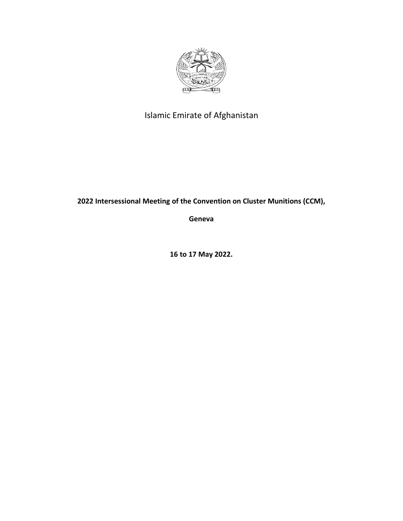

## Islamic Emirate of Afghanistan

**2022 Intersessional Meeting of the Convention on Cluster Munitions (CCM),**

**Geneva** 

**16 to 17 May 2022.**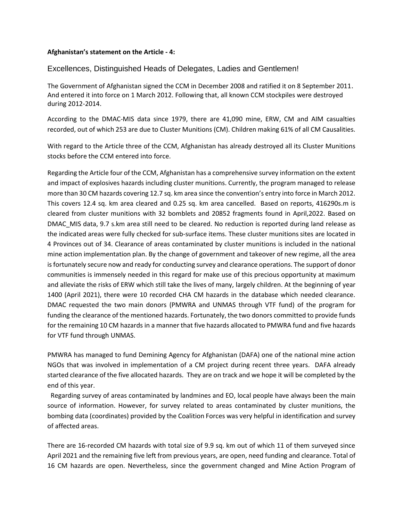## **Afghanistan's statement on the Article - 4:**

## Excellences, Distinguished Heads of Delegates, Ladies and Gentlemen!

The Government of Afghanistan signed the CCM in December 2008 and ratified it on 8 September 2011. And entered it into force on 1 March 2012. Following that, all known CCM stockpiles were destroyed during 2012-2014.

According to the DMAC-MIS data since 1979, there are 41,090 mine, ERW, CM and AIM casualties recorded, out of which 253 are due to Cluster Munitions (CM). Children making 61% of all CM Causalities.

With regard to the Article three of the CCM, Afghanistan has already destroyed all its Cluster Munitions stocks before the CCM entered into force.

Regarding the Article four of the CCM, Afghanistan has a comprehensive survey information on the extent and impact of explosives hazards including cluster munitions. Currently, the program managed to release more than 30 CM hazards covering 12.7 sq. km area since the convention's entry into force in March 2012. This covers 12.4 sq. km area cleared and 0.25 sq. km area cancelled. Based on reports, 416290s.m is cleared from cluster munitions with 32 bomblets and 20852 fragments found in April,2022. Based on DMAC\_MIS data, 9.7 s.km area still need to be cleared. No reduction is reported during land release as the indicated areas were fully checked for sub-surface items. These cluster munitions sites are located in 4 Provinces out of 34. Clearance of areas contaminated by cluster munitions is included in the national mine action implementation plan. By the change of government and takeover of new regime, all the area is fortunately secure now and ready for conducting survey and clearance operations. The support of donor communities is immensely needed in this regard for make use of this precious opportunity at maximum and alleviate the risks of ERW which still take the lives of many, largely children. At the beginning of year 1400 (April 2021), there were 10 recorded CHA CM hazards in the database which needed clearance. DMAC requested the two main donors (PMWRA and UNMAS through VTF fund) of the program for funding the clearance of the mentioned hazards. Fortunately, the two donors committed to provide funds for the remaining 10 CM hazards in a manner that five hazards allocated to PMWRA fund and five hazards for VTF fund through UNMAS.

PMWRA has managed to fund Demining Agency for Afghanistan (DAFA) one of the national mine action NGOs that was involved in implementation of a CM project during recent three years. DAFA already started clearance of the five allocated hazards. They are on track and we hope it will be completed by the end of this year.

Regarding survey of areas contaminated by landmines and EO, local people have always been the main source of information. However, for survey related to areas contaminated by cluster munitions, the bombing data (coordinates) provided by the Coalition Forces was very helpful in identification and survey of affected areas.

There are 16-recorded CM hazards with total size of 9.9 sq. km out of which 11 of them surveyed since April 2021 and the remaining five left from previous years, are open, need funding and clearance. Total of 16 CM hazards are open. Nevertheless, since the government changed and Mine Action Program of